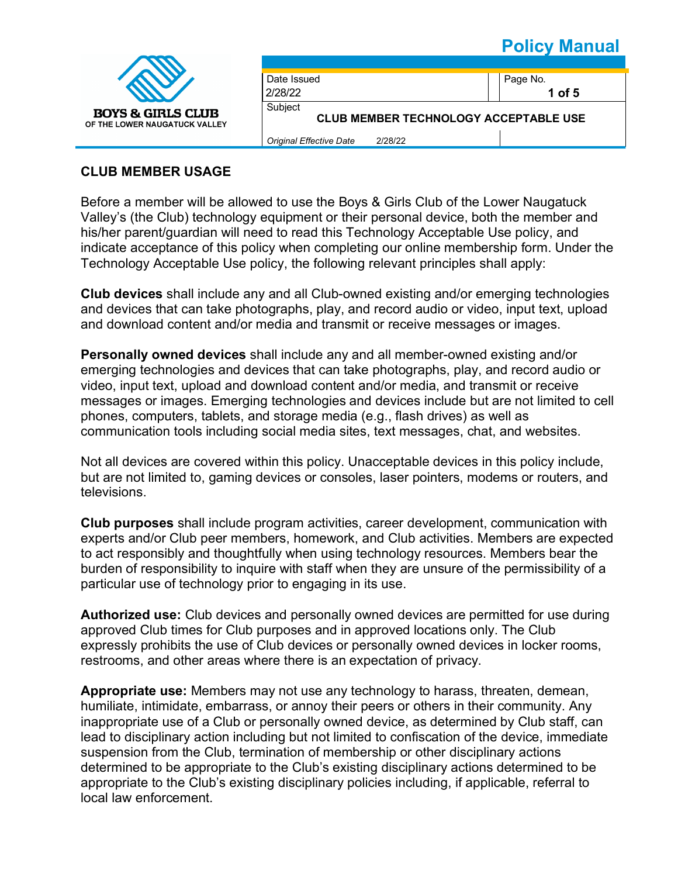

| Date Issued                                             |  | Page No.   |  |
|---------------------------------------------------------|--|------------|--|
| 2/28/22                                                 |  | $1$ of $5$ |  |
| Subiect<br><b>CLUB MEMBER TECHNOLOGY ACCEPTABLE USE</b> |  |            |  |
| Original Effective Date<br>2/28/22                      |  |            |  |

### **CLUB MEMBER USAGE**

Before a member will be allowed to use the Boys & Girls Club of the Lower Naugatuck Valley's (the Club) technology equipment or their personal device, both the member and his/her parent/guardian will need to read this Technology Acceptable Use policy, and indicate acceptance of this policy when completing our online membership form. Under the Technology Acceptable Use policy, the following relevant principles shall apply:

**Club devices** shall include any and all Club-owned existing and/or emerging technologies and devices that can take photographs, play, and record audio or video, input text, upload and download content and/or media and transmit or receive messages or images.

**Personally owned devices** shall include any and all member-owned existing and/or emerging technologies and devices that can take photographs, play, and record audio or video, input text, upload and download content and/or media, and transmit or receive messages or images. Emerging technologies and devices include but are not limited to cell phones, computers, tablets, and storage media (e.g., flash drives) as well as communication tools including social media sites, text messages, chat, and websites.

Not all devices are covered within this policy. Unacceptable devices in this policy include, but are not limited to, gaming devices or consoles, laser pointers, modems or routers, and televisions.

**Club purposes** shall include program activities, career development, communication with experts and/or Club peer members, homework, and Club activities. Members are expected to act responsibly and thoughtfully when using technology resources. Members bear the burden of responsibility to inquire with staff when they are unsure of the permissibility of a particular use of technology prior to engaging in its use.

**Authorized use:** Club devices and personally owned devices are permitted for use during approved Club times for Club purposes and in approved locations only. The Club expressly prohibits the use of Club devices or personally owned devices in locker rooms, restrooms, and other areas where there is an expectation of privacy.

**Appropriate use:** Members may not use any technology to harass, threaten, demean, humiliate, intimidate, embarrass, or annoy their peers or others in their community. Any inappropriate use of a Club or personally owned device, as determined by Club staff, can lead to disciplinary action including but not limited to confiscation of the device, immediate suspension from the Club, termination of membership or other disciplinary actions determined to be appropriate to the Club's existing disciplinary actions determined to be appropriate to the Club's existing disciplinary policies including, if applicable, referral to local law enforcement.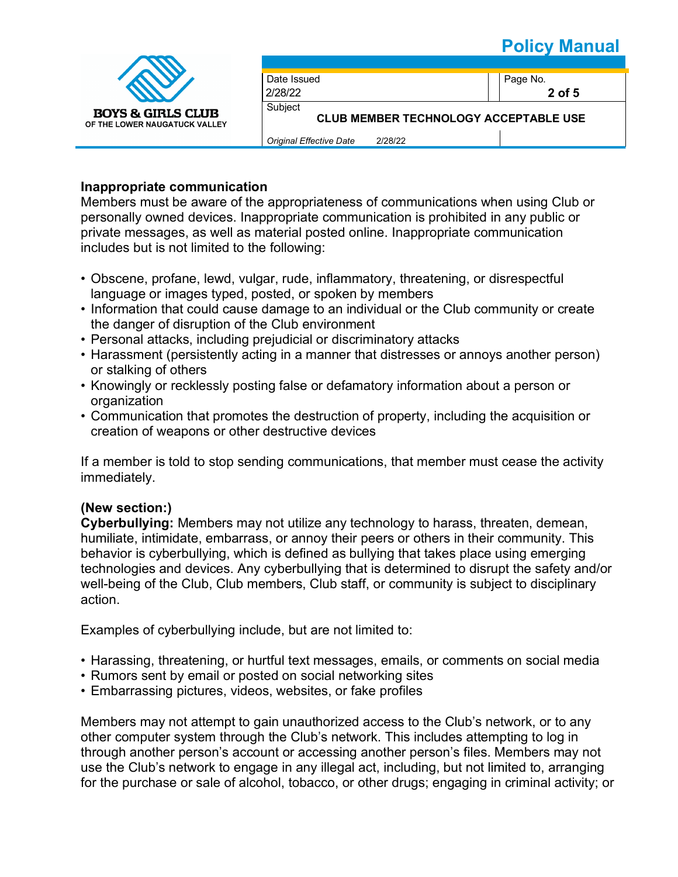

| Date Issued                                  |  | Page No.   |
|----------------------------------------------|--|------------|
|                                              |  |            |
| 2/28/22                                      |  | $2$ of $5$ |
| Subject                                      |  |            |
| <b>CLUB MEMBER TECHNOLOGY ACCEPTABLE USE</b> |  |            |
|                                              |  |            |

*Original Effective Date* 2/28/22

#### **Inappropriate communication**

Members must be aware of the appropriateness of communications when using Club or personally owned devices. Inappropriate communication is prohibited in any public or private messages, as well as material posted online. Inappropriate communication includes but is not limited to the following:

- Obscene, profane, lewd, vulgar, rude, inflammatory, threatening, or disrespectful language or images typed, posted, or spoken by members
- Information that could cause damage to an individual or the Club community or create the danger of disruption of the Club environment
- Personal attacks, including prejudicial or discriminatory attacks
- Harassment (persistently acting in a manner that distresses or annoys another person) or stalking of others
- Knowingly or recklessly posting false or defamatory information about a person or organization
- Communication that promotes the destruction of property, including the acquisition or creation of weapons or other destructive devices

If a member is told to stop sending communications, that member must cease the activity immediately.

### **(New section:)**

**Cyberbullying:** Members may not utilize any technology to harass, threaten, demean, humiliate, intimidate, embarrass, or annoy their peers or others in their community. This behavior is cyberbullying, which is defined as bullying that takes place using emerging technologies and devices. Any cyberbullying that is determined to disrupt the safety and/or well-being of the Club, Club members, Club staff, or community is subject to disciplinary action.

Examples of cyberbullying include, but are not limited to:

- Harassing, threatening, or hurtful text messages, emails, or comments on social media
- Rumors sent by email or posted on social networking sites
- Embarrassing pictures, videos, websites, or fake profiles

Members may not attempt to gain unauthorized access to the Club's network, or to any other computer system through the Club's network. This includes attempting to log in through another person's account or accessing another person's files. Members may not use the Club's network to engage in any illegal act, including, but not limited to, arranging for the purchase or sale of alcohol, tobacco, or other drugs; engaging in criminal activity; or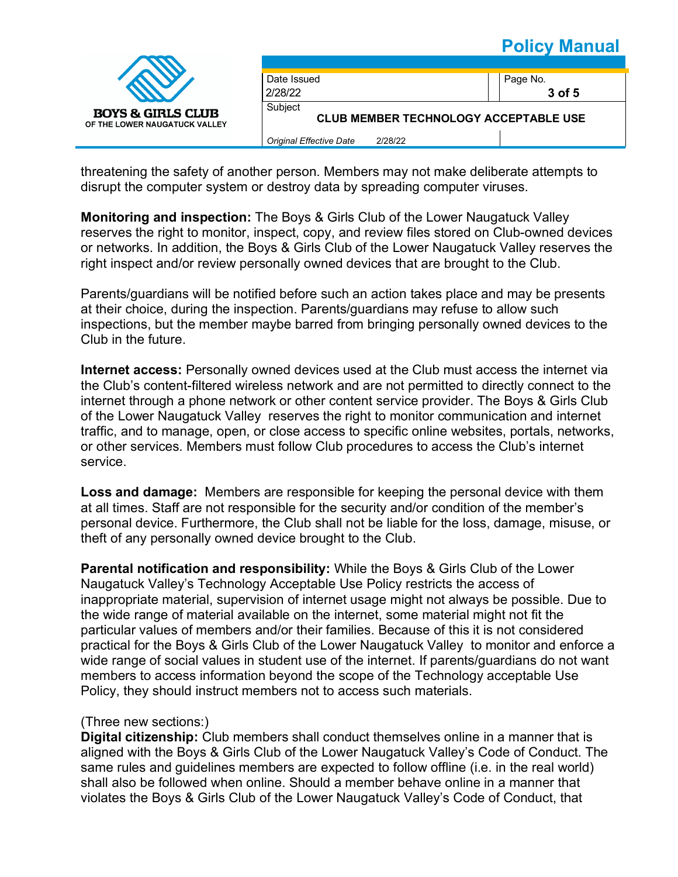

threatening the safety of another person. Members may not make deliberate attempts to disrupt the computer system or destroy data by spreading computer viruses.

**Monitoring and inspection:** The Boys & Girls Club of the Lower Naugatuck Valley reserves the right to monitor, inspect, copy, and review files stored on Club-owned devices or networks. In addition, the Boys & Girls Club of the Lower Naugatuck Valley reserves the right inspect and/or review personally owned devices that are brought to the Club.

Parents/guardians will be notified before such an action takes place and may be presents at their choice, during the inspection. Parents/guardians may refuse to allow such inspections, but the member maybe barred from bringing personally owned devices to the Club in the future.

**Internet access:** Personally owned devices used at the Club must access the internet via the Club's content-filtered wireless network and are not permitted to directly connect to the internet through a phone network or other content service provider. The Boys & Girls Club of the Lower Naugatuck Valley reserves the right to monitor communication and internet traffic, and to manage, open, or close access to specific online websites, portals, networks, or other services. Members must follow Club procedures to access the Club's internet service.

**Loss and damage:** Members are responsible for keeping the personal device with them at all times. Staff are not responsible for the security and/or condition of the member's personal device. Furthermore, the Club shall not be liable for the loss, damage, misuse, or theft of any personally owned device brought to the Club.

**Parental notification and responsibility:** While the Boys & Girls Club of the Lower Naugatuck Valley's Technology Acceptable Use Policy restricts the access of inappropriate material, supervision of internet usage might not always be possible. Due to the wide range of material available on the internet, some material might not fit the particular values of members and/or their families. Because of this it is not considered practical for the Boys & Girls Club of the Lower Naugatuck Valley to monitor and enforce a wide range of social values in student use of the internet. If parents/guardians do not want members to access information beyond the scope of the Technology acceptable Use Policy, they should instruct members not to access such materials.

#### (Three new sections:)

**Digital citizenship:** Club members shall conduct themselves online in a manner that is aligned with the Boys & Girls Club of the Lower Naugatuck Valley's Code of Conduct. The same rules and guidelines members are expected to follow offline (i.e. in the real world) shall also be followed when online. Should a member behave online in a manner that violates the Boys & Girls Club of the Lower Naugatuck Valley's Code of Conduct, that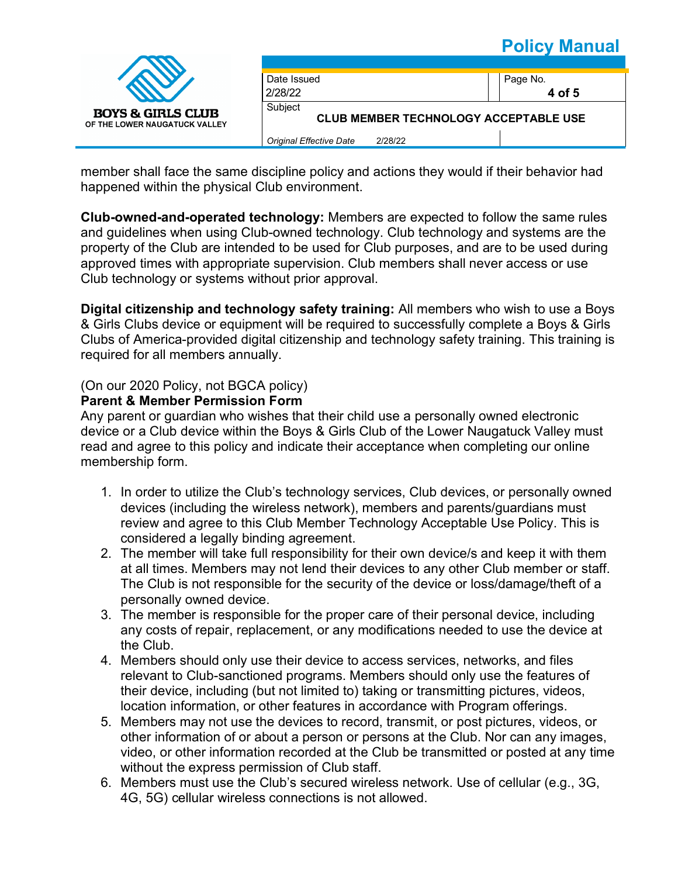

member shall face the same discipline policy and actions they would if their behavior had happened within the physical Club environment.

**Club-owned-and-operated technology:** Members are expected to follow the same rules and guidelines when using Club-owned technology. Club technology and systems are the property of the Club are intended to be used for Club purposes, and are to be used during approved times with appropriate supervision. Club members shall never access or use Club technology or systems without prior approval.

**Digital citizenship and technology safety training:** All members who wish to use a Boys & Girls Clubs device or equipment will be required to successfully complete a Boys & Girls Clubs of America-provided digital citizenship and technology safety training. This training is required for all members annually.

### (On our 2020 Policy, not BGCA policy)

#### **Parent & Member Permission Form**

Any parent or guardian who wishes that their child use a personally owned electronic device or a Club device within the Boys & Girls Club of the Lower Naugatuck Valley must read and agree to this policy and indicate their acceptance when completing our online membership form.

- 1. In order to utilize the Club's technology services, Club devices, or personally owned devices (including the wireless network), members and parents/guardians must review and agree to this Club Member Technology Acceptable Use Policy. This is considered a legally binding agreement.
- 2. The member will take full responsibility for their own device/s and keep it with them at all times. Members may not lend their devices to any other Club member or staff. The Club is not responsible for the security of the device or loss/damage/theft of a personally owned device.
- 3. The member is responsible for the proper care of their personal device, including any costs of repair, replacement, or any modifications needed to use the device at the Club.
- 4. Members should only use their device to access services, networks, and files relevant to Club-sanctioned programs. Members should only use the features of their device, including (but not limited to) taking or transmitting pictures, videos, location information, or other features in accordance with Program offerings.
- 5. Members may not use the devices to record, transmit, or post pictures, videos, or other information of or about a person or persons at the Club. Nor can any images, video, or other information recorded at the Club be transmitted or posted at any time without the express permission of Club staff.
- 6. Members must use the Club's secured wireless network. Use of cellular (e.g., 3G, 4G, 5G) cellular wireless connections is not allowed.